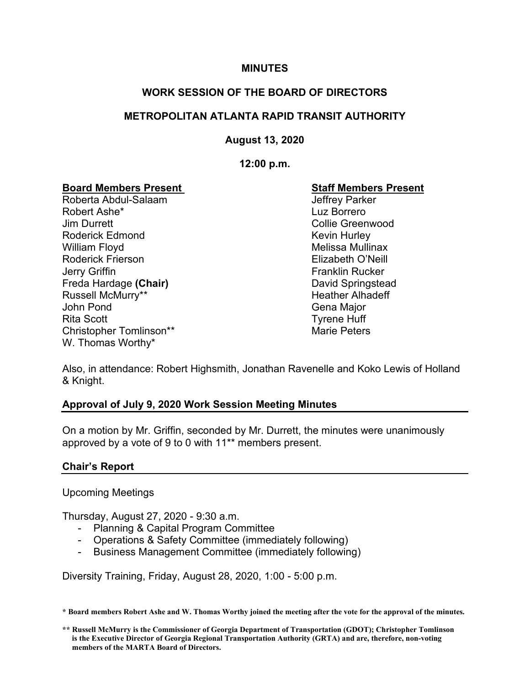#### **MINUTES**

### **WORK SESSION OF THE BOARD OF DIRECTORS**

#### **METROPOLITAN ATLANTA RAPID TRANSIT AUTHORITY**

**August 13, 2020**

**12:00 p.m.**

# **Board Members Present New Staff Members Present**<br>Roberta Abdul-Salaam New Staff Members Present

Roberta Abdul-Salaam Robert Ashe\* Luz Borrero Jim Durrett Collie Greenwood Roderick Edmond **Kevin Hurley** Kevin Hurley William Floyd **Melissa Mullinax** Roderick Frierson Elizabeth O'Neill **Jerry Griffin Franklin Rucker** Freda Hardage **(Chair)** David Springstead Russell McMurry\*\* The Controller of the Heather Alhadeff John Pond Gena Major Rita Scott **Tyrene Huff** Christopher Tomlinson\*\* The Christopher Tomlinson extended a matter of the Marie Peters W. Thomas Worthy\*

Also, in attendance: Robert Highsmith, Jonathan Ravenelle and Koko Lewis of Holland & Knight.

#### **Approval of July 9, 2020 Work Session Meeting Minutes**

On a motion by Mr. Griffin, seconded by Mr. Durrett, the minutes were unanimously approved by a vote of 9 to 0 with 11\*\* members present.

# **Chair's Report**

Upcoming Meetings

Thursday, August 27, 2020 - 9:30 a.m.

- Planning & Capital Program Committee
- Operations & Safety Committee (immediately following)
- Business Management Committee (immediately following)

Diversity Training, Friday, August 28, 2020, 1:00 - 5:00 p.m.

**\* Board members Robert Ashe and W. Thomas Worthy joined the meeting after the vote for the approval of the minutes.**

**<sup>\*\*</sup> Russell McMurry is the Commissioner of Georgia Department of Transportation (GDOT); Christopher Tomlinson is the Executive Director of Georgia Regional Transportation Authority (GRTA) and are, therefore, non-voting members of the MARTA Board of Directors.**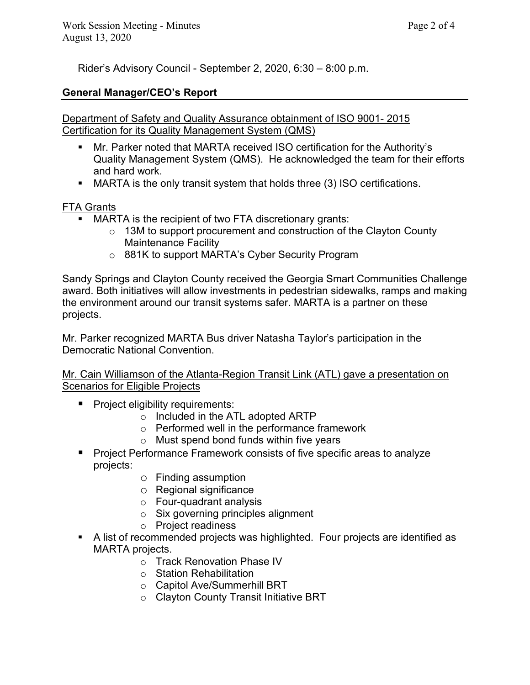Rider's Advisory Council - September 2, 2020, 6:30 – 8:00 p.m.

# **General Manager/CEO's Report**

### Department of Safety and Quality Assurance obtainment of ISO 9001- 2015 Certification for its Quality Management System (QMS)

- Mr. Parker noted that MARTA received ISO certification for the Authority's Quality Management System (QMS). He acknowledged the team for their efforts and hard work.
- MARTA is the only transit system that holds three (3) ISO certifications.

# FTA Grants

- MARTA is the recipient of two FTA discretionary grants:
	- $\circ$  13M to support procurement and construction of the Clayton County Maintenance Facility
	- o 881K to support MARTA's Cyber Security Program

Sandy Springs and Clayton County received the Georgia Smart Communities Challenge award. Both initiatives will allow investments in pedestrian sidewalks, ramps and making the environment around our transit systems safer. MARTA is a partner on these projects.

Mr. Parker recognized MARTA Bus driver Natasha Taylor's participation in the Democratic National Convention.

Mr. Cain Williamson of the Atlanta-Region Transit Link (ATL) gave a presentation on Scenarios for Eligible Projects

- **Project eligibility requirements:** 
	- o Included in the ATL adopted ARTP
	- o Performed well in the performance framework
	- o Must spend bond funds within five years
- **Project Performance Framework consists of five specific areas to analyze** projects:
	- o Finding assumption
	- o Regional significance
	- o Four-quadrant analysis
	- o Six governing principles alignment
	- o Project readiness
- A list of recommended projects was highlighted. Four projects are identified as MARTA projects.
	- o Track Renovation Phase IV
	- o Station Rehabilitation
	- o Capitol Ave/Summerhill BRT
	- o Clayton County Transit Initiative BRT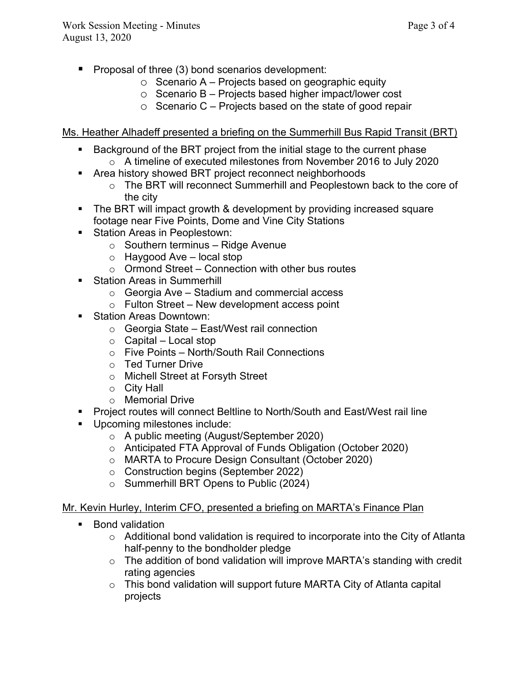- $\blacksquare$  Proposal of three (3) bond scenarios development:
	- $\circ$  Scenario A Projects based on geographic equity
	- o Scenario B Projects based higher impact/lower cost
	- $\circ$  Scenario C Projects based on the state of good repair

Ms. Heather Alhadeff presented a briefing on the Summerhill Bus Rapid Transit (BRT)

- Background of the BRT project from the initial stage to the current phase
	- $\circ$  A timeline of executed milestones from November 2016 to July 2020
- **EXTERCH Area history showed BRT project reconnect neighborhoods** 
	- o The BRT will reconnect Summerhill and Peoplestown back to the core of the city
- The BRT will impact growth & development by providing increased square footage near Five Points, Dome and Vine City Stations
- **Station Areas in Peoplestown:** 
	- $\circ$  Southern terminus Ridge Avenue
	- o Haygood Ave local stop
	- $\circ$  Ormond Street Connection with other bus routes
- **Station Areas in Summerhill** 
	- $\circ$  Georgia Ave Stadium and commercial access
	- $\circ$  Fulton Street New development access point
- **Station Areas Downtown:** 
	- o Georgia State East/West rail connection
	- $\circ$  Capital Local stop
	- o Five Points North/South Rail Connections
	- o Ted Turner Drive
	- o Michell Street at Forsyth Street
	- o City Hall
	- o Memorial Drive
- Project routes will connect Beltline to North/South and East/West rail line
- Upcoming milestones include:
	- o A public meeting (August/September 2020)
	- o Anticipated FTA Approval of Funds Obligation (October 2020)
	- o MARTA to Procure Design Consultant (October 2020)
	- o Construction begins (September 2022)
	- o Summerhill BRT Opens to Public (2024)

## Mr. Kevin Hurley, Interim CFO, presented a briefing on MARTA's Finance Plan

- Bond validation
	- $\circ$  Additional bond validation is required to incorporate into the City of Atlanta half-penny to the bondholder pledge
	- o The addition of bond validation will improve MARTA's standing with credit rating agencies
	- $\circ$  This bond validation will support future MARTA City of Atlanta capital projects